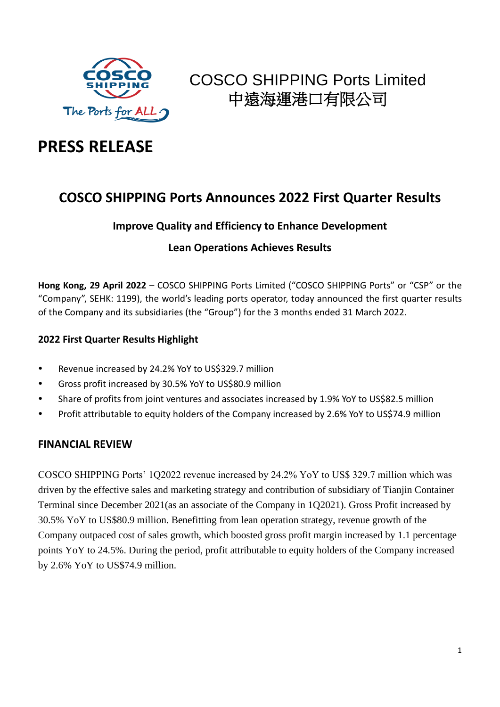

# **PRESS RELEASE**

### **COSCO SHIPPING Ports Announces 2022 First Quarter Results**

### **Improve Quality and Efficiency to Enhance Development**

### **Lean Operations Achieves Results**

**Hong Kong, 29 April 2022** – COSCO SHIPPING Ports Limited ("COSCO SHIPPING Ports" or "CSP" or the "Company", SEHK: 1199), the world's leading ports operator, today announced the first quarter results of the Company and its subsidiaries (the "Group") for the 3 months ended 31 March 2022.

### **2022 First Quarter Results Highlight**

- Revenue increased by 24.2% YoY to US\$329.7 million
- Gross profit increased by 30.5% YoY to US\$80.9 million
- Share of profits from joint ventures and associates increased by 1.9% YoY to US\$82.5 million
- Profit attributable to equity holders of the Company increased by 2.6% YoY to US\$74.9 million

#### **FINANCIAL REVIEW**

COSCO SHIPPING Ports' 1Q2022 revenue increased by 24.2% YoY to US\$ 329.7 million which was driven by the effective sales and marketing strategy and contribution of subsidiary of Tianjin Container Terminal since December 2021(as an associate of the Company in 1Q2021). Gross Profit increased by 30.5% YoY to US\$80.9 million. Benefitting from lean operation strategy, revenue growth of the Company outpaced cost of sales growth, which boosted gross profit margin increased by 1.1 percentage points YoY to 24.5%. During the period, profit attributable to equity holders of the Company increased by 2.6% YoY to US\$74.9 million.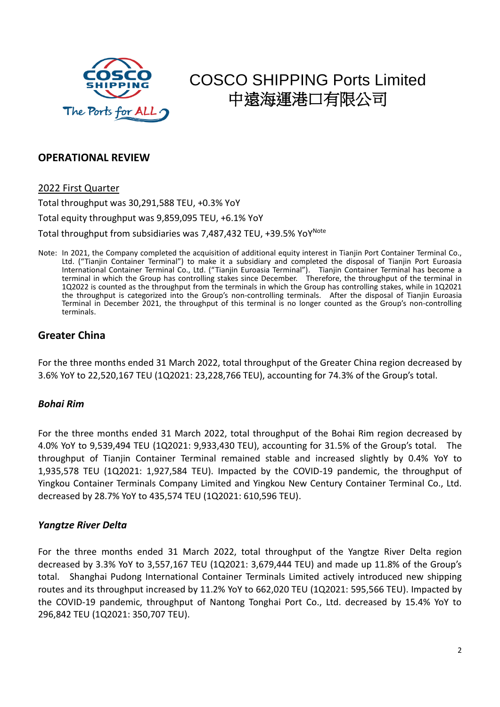

#### **OPERATIONAL REVIEW**

#### 2022 First Quarter

Total throughput was 30,291,588 TEU, +0.3% YoY

Total equity throughput was 9,859,095 TEU, +6.1% YoY

Total throughput from subsidiaries was 7,487,432 TEU, +39.5% YoY<sup>Note</sup>

Note: In 2021, the Company completed the acquisition of additional equity interest in Tianjin Port Container Terminal Co., Ltd. ("Tianjin Container Terminal") to make it a subsidiary and completed the disposal of Tianjin Port Euroasia International Container Terminal Co., Ltd. ("Tianjin Euroasia Terminal"). Tianjin Container Terminal has become a terminal in which the Group has controlling stakes since December. Therefore, the throughput of the terminal in 1Q2022 is counted as the throughput from the terminals in which the Group has controlling stakes, while in 1Q2021 the throughput is categorized into the Group's non-controlling terminals. After the disposal of Tianjin Euroasia Terminal in December 2021, the throughput of this terminal is no longer counted as the Group's non-controlling terminals.

#### **Greater China**

For the three months ended 31 March 2022, total throughput of the Greater China region decreased by 3.6% YoY to 22,520,167 TEU (1Q2021: 23,228,766 TEU), accounting for 74.3% of the Group's total.

#### *Bohai Rim*

For the three months ended 31 March 2022, total throughput of the Bohai Rim region decreased by 4.0% YoY to 9,539,494 TEU (1Q2021: 9,933,430 TEU), accounting for 31.5% of the Group's total. The throughput of Tianjin Container Terminal remained stable and increased slightly by 0.4% YoY to 1,935,578 TEU (1Q2021: 1,927,584 TEU). Impacted by the COVID-19 pandemic, the throughput of Yingkou Container Terminals Company Limited and Yingkou New Century Container Terminal Co., Ltd. decreased by 28.7% YoY to 435,574 TEU (1Q2021: 610,596 TEU).

#### *Yangtze River Delta*

For the three months ended 31 March 2022, total throughput of the Yangtze River Delta region decreased by 3.3% YoY to 3,557,167 TEU (1Q2021: 3,679,444 TEU) and made up 11.8% of the Group's total. Shanghai Pudong International Container Terminals Limited actively introduced new shipping routes and its throughput increased by 11.2% YoY to 662,020 TEU (1Q2021: 595,566 TEU). Impacted by the COVID-19 pandemic, throughput of Nantong Tonghai Port Co., Ltd. decreased by 15.4% YoY to 296,842 TEU (1Q2021: 350,707 TEU).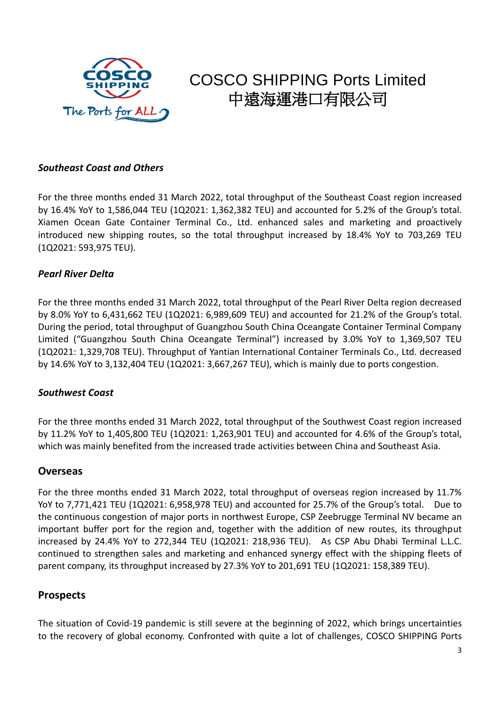

#### *Southeast Coast and Others*

For the three months ended 31 March 2022, total throughput of the Southeast Coast region increased by 16.4% YoY to 1,586,044 TEU (1Q2021: 1,362,382 TEU) and accounted for 5.2% of the Group's total. Xiamen Ocean Gate Container Terminal Co., Ltd. enhanced sales and marketing and proactively introduced new shipping routes, so the total throughput increased by 18.4% YoY to 703,269 TEU (1Q2021: 593,975 TEU).

#### *Pearl River Delta*

For the three months ended 31 March 2022, total throughput of the Pearl River Delta region decreased by 8.0% YoY to 6,431,662 TEU (1Q2021: 6,989,609 TEU) and accounted for 21.2% of the Group's total. During the period, total throughput of Guangzhou South China Oceangate Container Terminal Company Limited ("Guangzhou South China Oceangate Terminal") increased by 3.0% YoY to 1,369,507 TEU (1Q2021: 1,329,708 TEU). Throughput of Yantian International Container Terminals Co., Ltd. decreased by 14.6% YoY to 3,132,404 TEU (1Q2021: 3,667,267 TEU), which is mainly due to ports congestion.

#### *Southwest Coast*

For the three months ended 31 March 2022, total throughput of the Southwest Coast region increased by 11.2% YoY to 1,405,800 TEU (1Q2021: 1,263,901 TEU) and accounted for 4.6% of the Group's total, which was mainly benefited from the increased trade activities between China and Southeast Asia.

#### **Overseas**

For the three months ended 31 March 2022, total throughput of overseas region increased by 11.7% YoY to 7,771,421 TEU (1Q2021: 6,958,978 TEU) and accounted for 25.7% of the Group's total. Due to the continuous congestion of major ports in northwest Europe, CSP Zeebrugge Terminal NV became an important buffer port for the region and, together with the addition of new routes, its throughput increased by 24.4% YoY to 272,344 TEU (1Q2021: 218,936 TEU). As CSP Abu Dhabi Terminal L.L.C. continued to strengthen sales and marketing and enhanced synergy effect with the shipping fleets of parent company, its throughput increased by 27.3% YoY to 201,691 TEU (1Q2021: 158,389 TEU).

#### **Prospects**

The situation of Covid-19 pandemic is still severe at the beginning of 2022, which brings uncertainties to the recovery of global economy. Confronted with quite a lot of challenges, COSCO SHIPPING Ports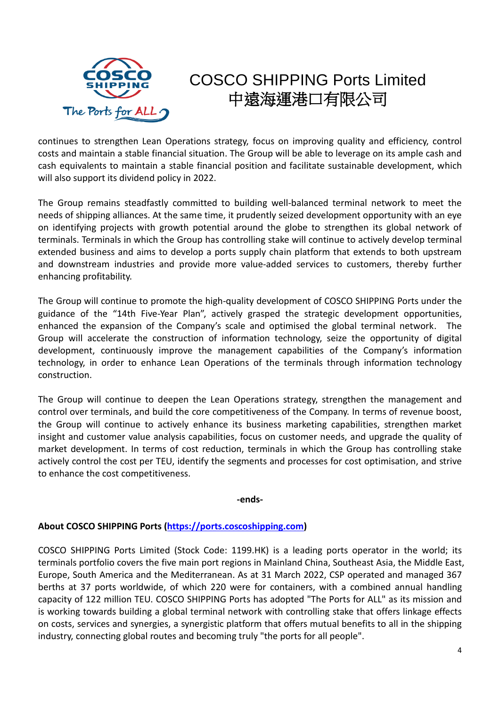

continues to strengthen Lean Operations strategy, focus on improving quality and efficiency, control costs and maintain a stable financial situation. The Group will be able to leverage on its ample cash and cash equivalents to maintain a stable financial position and facilitate sustainable development, which will also support its dividend policy in 2022.

The Group remains steadfastly committed to building well-balanced terminal network to meet the needs of shipping alliances. At the same time, it prudently seized development opportunity with an eye on identifying projects with growth potential around the globe to strengthen its global network of terminals. Terminals in which the Group has controlling stake will continue to actively develop terminal extended business and aims to develop a ports supply chain platform that extends to both upstream and downstream industries and provide more value-added services to customers, thereby further enhancing profitability.

The Group will continue to promote the high-quality development of COSCO SHIPPING Ports under the guidance of the "14th Five-Year Plan", actively grasped the strategic development opportunities, enhanced the expansion of the Company's scale and optimised the global terminal network. The Group will accelerate the construction of information technology, seize the opportunity of digital development, continuously improve the management capabilities of the Company's information technology, in order to enhance Lean Operations of the terminals through information technology construction.

The Group will continue to deepen the Lean Operations strategy, strengthen the management and control over terminals, and build the core competitiveness of the Company. In terms of revenue boost, the Group will continue to actively enhance its business marketing capabilities, strengthen market insight and customer value analysis capabilities, focus on customer needs, and upgrade the quality of market development. In terms of cost reduction, terminals in which the Group has controlling stake actively control the cost per TEU, identify the segments and processes for cost optimisation, and strive to enhance the cost competitiveness.

**-ends-**

#### **About COSCO SHIPPING Ports [\(https://ports.coscoshipping.com\)](https://ports.coscoshipping.com/)**

COSCO SHIPPING Ports Limited (Stock Code: 1199.HK) is a leading ports operator in the world; its terminals portfolio covers the five main port regions in Mainland China, Southeast Asia, the Middle East, Europe, South America and the Mediterranean. As at 31 March 2022, CSP operated and managed 367 berths at 37 ports worldwide, of which 220 were for containers, with a combined annual handling capacity of 122 million TEU. COSCO SHIPPING Ports has adopted "The Ports for ALL" as its mission and is working towards building a global terminal network with controlling stake that offers linkage effects on costs, services and synergies, a synergistic platform that offers mutual benefits to all in the shipping industry, connecting global routes and becoming truly "the ports for all people".